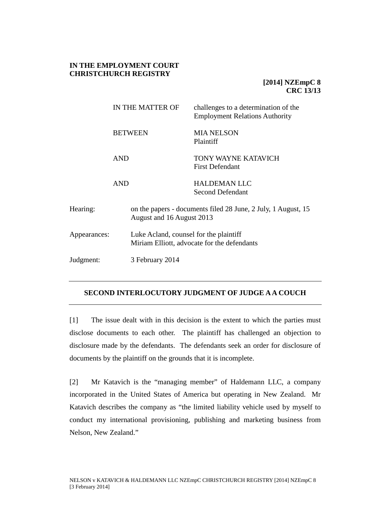## **IN THE EMPLOYMENT COURT CHRISTCHURCH REGISTRY**

# **[2014] NZEmpC 8 CRC 13/13**

|              |                 | IN THE MATTER OF                                                                           | challenges to a determination of the<br><b>Employment Relations Authority</b> |  |
|--------------|-----------------|--------------------------------------------------------------------------------------------|-------------------------------------------------------------------------------|--|
|              |                 | <b>BETWEEN</b>                                                                             | <b>MIA NELSON</b><br>Plaintiff                                                |  |
|              | <b>AND</b>      |                                                                                            | TONY WAYNE KATAVICH<br><b>First Defendant</b>                                 |  |
|              | <b>AND</b>      |                                                                                            | <b>HALDEMAN LLC</b><br><b>Second Defendant</b>                                |  |
| Hearing:     |                 | on the papers - documents filed 28 June, 2 July, 1 August, 15<br>August and 16 August 2013 |                                                                               |  |
| Appearances: |                 | Luke Acland, counsel for the plaintiff<br>Miriam Elliott, advocate for the defendants      |                                                                               |  |
| Judgment:    | 3 February 2014 |                                                                                            |                                                                               |  |

## **SECOND INTERLOCUTORY JUDGMENT OF JUDGE A A COUCH**

[1] The issue dealt with in this decision is the extent to which the parties must disclose documents to each other. The plaintiff has challenged an objection to disclosure made by the defendants. The defendants seek an order for disclosure of documents by the plaintiff on the grounds that it is incomplete.

[2] Mr Katavich is the "managing member" of Haldemann LLC, a company incorporated in the United States of America but operating in New Zealand. Mr Katavich describes the company as "the limited liability vehicle used by myself to conduct my international provisioning, publishing and marketing business from Nelson, New Zealand."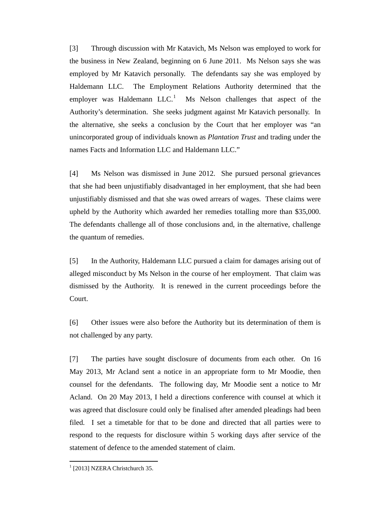[3] Through discussion with Mr Katavich, Ms Nelson was employed to work for the business in New Zealand, beginning on 6 June 2011. Ms Nelson says she was employed by Mr Katavich personally. The defendants say she was employed by Haldemann LLC. The Employment Relations Authority determined that the employer was Haldemann  $LLC<sup>1</sup>$  $LLC<sup>1</sup>$  $LLC<sup>1</sup>$  Ms Nelson challenges that aspect of the Authority's determination. She seeks judgment against Mr Katavich personally. In the alternative, she seeks a conclusion by the Court that her employer was "an unincorporated group of individuals known as *Plantation Trust* and trading under the names Facts and Information LLC and Haldemann LLC."

[4] Ms Nelson was dismissed in June 2012. She pursued personal grievances that she had been unjustifiably disadvantaged in her employment, that she had been unjustifiably dismissed and that she was owed arrears of wages. These claims were upheld by the Authority which awarded her remedies totalling more than \$35,000. The defendants challenge all of those conclusions and, in the alternative, challenge the quantum of remedies.

[5] In the Authority, Haldemann LLC pursued a claim for damages arising out of alleged misconduct by Ms Nelson in the course of her employment. That claim was dismissed by the Authority. It is renewed in the current proceedings before the Court.

[6] Other issues were also before the Authority but its determination of them is not challenged by any party.

[7] The parties have sought disclosure of documents from each other. On 16 May 2013, Mr Acland sent a notice in an appropriate form to Mr Moodie, then counsel for the defendants. The following day, Mr Moodie sent a notice to Mr Acland. On 20 May 2013, I held a directions conference with counsel at which it was agreed that disclosure could only be finalised after amended pleadings had been filed. I set a timetable for that to be done and directed that all parties were to respond to the requests for disclosure within 5 working days after service of the statement of defence to the amended statement of claim.

<span id="page-1-0"></span> $1$  [2013] NZERA Christchurch 35.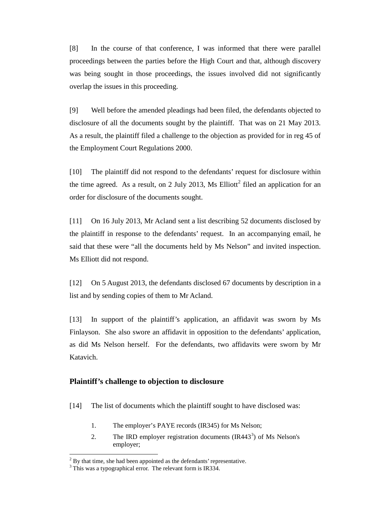[8] In the course of that conference, I was informed that there were parallel proceedings between the parties before the High Court and that, although discovery was being sought in those proceedings, the issues involved did not significantly overlap the issues in this proceeding.

[9] Well before the amended pleadings had been filed, the defendants objected to disclosure of all the documents sought by the plaintiff. That was on 21 May 2013. As a result, the plaintiff filed a challenge to the objection as provided for in reg 45 of the Employment Court Regulations 2000.

[10] The plaintiff did not respond to the defendants' request for disclosure within the time agreed. As a result, on [2](#page-2-0) July 2013, Ms Elliott<sup>2</sup> filed an application for an order for disclosure of the documents sought.

[11] On 16 July 2013, Mr Acland sent a list describing 52 documents disclosed by the plaintiff in response to the defendants' request. In an accompanying email, he said that these were "all the documents held by Ms Nelson" and invited inspection. Ms Elliott did not respond.

[12] On 5 August 2013, the defendants disclosed 67 documents by description in a list and by sending copies of them to Mr Acland.

[13] In support of the plaintiff's application, an affidavit was sworn by Ms Finlayson. She also swore an affidavit in opposition to the defendants' application, as did Ms Nelson herself. For the defendants, two affidavits were sworn by Mr Katavich.

## **Plaintiff's challenge to objection to disclosure**

- [14] The list of documents which the plaintiff sought to have disclosed was:
	- 1. The employer's PAYE records (IR345) for Ms Nelson;
	- 2. The IRD employer registration documents  $(IR443<sup>3</sup>)$  $(IR443<sup>3</sup>)$  $(IR443<sup>3</sup>)$  of Ms Nelson's employer;

<span id="page-2-0"></span> $2^2$  By that time, she had been appointed as the defendants' representative.

<span id="page-2-1"></span><sup>&</sup>lt;sup>3</sup> This was a typographical error. The relevant form is IR334.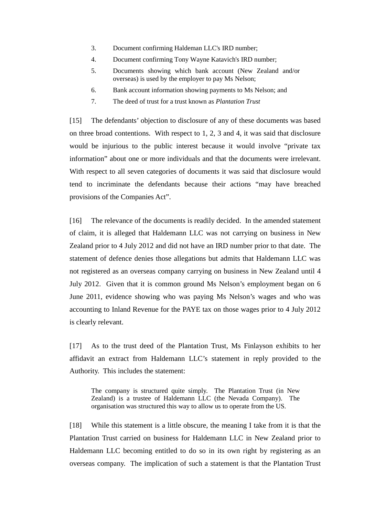- 3. Document confirming Haldeman LLC's IRD number;
- 4. Document confirming Tony Wayne Katavich's IRD number;
- 5. Documents showing which bank account (New Zealand and/or overseas) is used by the employer to pay Ms Nelson;
- 6. Bank account information showing payments to Ms Nelson; and
- 7. The deed of trust for a trust known as *Plantation Trust*

[15] The defendants' objection to disclosure of any of these documents was based on three broad contentions. With respect to 1, 2, 3 and 4, it was said that disclosure would be injurious to the public interest because it would involve "private tax information" about one or more individuals and that the documents were irrelevant. With respect to all seven categories of documents it was said that disclosure would tend to incriminate the defendants because their actions "may have breached provisions of the Companies Act".

[16] The relevance of the documents is readily decided. In the amended statement of claim, it is alleged that Haldemann LLC was not carrying on business in New Zealand prior to 4 July 2012 and did not have an IRD number prior to that date. The statement of defence denies those allegations but admits that Haldemann LLC was not registered as an overseas company carrying on business in New Zealand until 4 July 2012. Given that it is common ground Ms Nelson's employment began on 6 June 2011, evidence showing who was paying Ms Nelson's wages and who was accounting to Inland Revenue for the PAYE tax on those wages prior to 4 July 2012 is clearly relevant.

[17] As to the trust deed of the Plantation Trust, Ms Finlayson exhibits to her affidavit an extract from Haldemann LLC's statement in reply provided to the Authority. This includes the statement:

The company is structured quite simply. The Plantation Trust (in New Zealand) is a trustee of Haldemann LLC (the Nevada Company). The organisation was structured this way to allow us to operate from the US.

[18] While this statement is a little obscure, the meaning I take from it is that the Plantation Trust carried on business for Haldemann LLC in New Zealand prior to Haldemann LLC becoming entitled to do so in its own right by registering as an overseas company. The implication of such a statement is that the Plantation Trust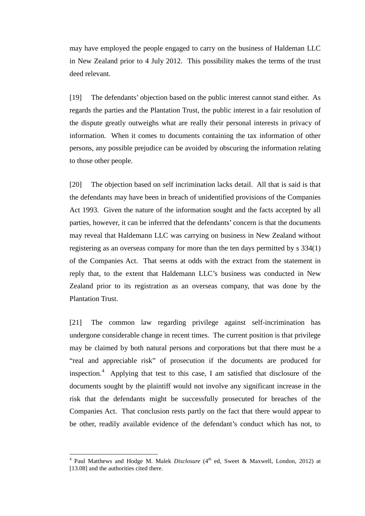may have employed the people engaged to carry on the business of Haldeman LLC in New Zealand prior to 4 July 2012. This possibility makes the terms of the trust deed relevant.

[19] The defendants' objection based on the public interest cannot stand either. As regards the parties and the Plantation Trust, the public interest in a fair resolution of the dispute greatly outweighs what are really their personal interests in privacy of information. When it comes to documents containing the tax information of other persons, any possible prejudice can be avoided by obscuring the information relating to those other people.

[20] The objection based on self incrimination lacks detail. All that is said is that the defendants may have been in breach of unidentified provisions of the Companies Act 1993. Given the nature of the information sought and the facts accepted by all parties, however, it can be inferred that the defendants' concern is that the documents may reveal that Haldemann LLC was carrying on business in New Zealand without registering as an overseas company for more than the ten days permitted by s 334(1) of the Companies Act. That seems at odds with the extract from the statement in reply that, to the extent that Haldemann LLC's business was conducted in New Zealand prior to its registration as an overseas company, that was done by the Plantation Trust.

[21] The common law regarding privilege against self-incrimination has undergone considerable change in recent times. The current position is that privilege may be claimed by both natural persons and corporations but that there must be a "real and appreciable risk" of prosecution if the documents are produced for inspection. $4$  Applying that test to this case, I am satisfied that disclosure of the documents sought by the plaintiff would not involve any significant increase in the risk that the defendants might be successfully prosecuted for breaches of the Companies Act. That conclusion rests partly on the fact that there would appear to be other, readily available evidence of the defendant's conduct which has not, to

<span id="page-4-0"></span><sup>&</sup>lt;sup>4</sup> Paul Matthews and Hodge M. Malek *Disclosure* (4<sup>th</sup> ed, Sweet & Maxwell, London, 2012) at [13.08] and the authorities cited there.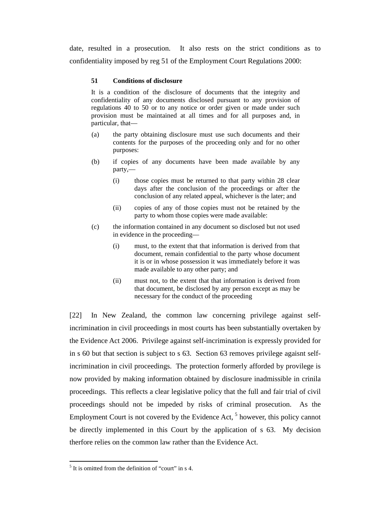date, resulted in a prosecution. It also rests on the strict conditions as to confidentiality imposed by reg 51 of the Employment Court Regulations 2000:

#### **51 Conditions of disclosure**

It is a condition of the disclosure of documents that the integrity and confidentiality of any documents disclosed pursuant to any provision of regulations 40 to 50 or to any notice or order given or made under such provision must be maintained at all times and for all purposes and, in particular, that—

- (a) the party obtaining disclosure must use such documents and their contents for the purposes of the proceeding only and for no other purposes:
- (b) if copies of any documents have been made available by any party,—
	- (i) those copies must be returned to that party within 28 clear days after the conclusion of the proceedings or after the conclusion of any related appeal, whichever is the later; and
	- (ii) copies of any of those copies must not be retained by the party to whom those copies were made available:
- (c) the information contained in any document so disclosed but not used in evidence in the proceeding—
	- (i) must, to the extent that that information is derived from that document, remain confidential to the party whose document it is or in whose possession it was immediately before it was made available to any other party; and
	- (ii) must not, to the extent that that information is derived from that document, be disclosed by any person except as may be necessary for the conduct of the proceeding

[22] In New Zealand, the common law concerning privilege against selfincrimination in civil proceedings in most courts has been substantially overtaken by the Evidence Act 2006. Privilege against self-incrimination is expressly provided for in s 60 but that section is subject to s 63. Section 63 removes privilege agaisnt selfincrimination in civil proceedings. The protection formerly afforded by provilege is now provided by making information obtained by disclosure inadmissible in crinila proceedings. This reflects a clear legislative policy that the full and fair trial of civil proceedings should not be impeded by risks of criminal prosecution. As the Employment Court is not covered by the Evidence Act, <sup>[5](#page-5-0)</sup> however, this policy cannot be directly implemented in this Court by the application of s 63. My decision therfore relies on the common law rather than the Evidence Act.

<span id="page-5-0"></span> $<sup>5</sup>$  It is omitted from the definition of "court" in s 4.</sup>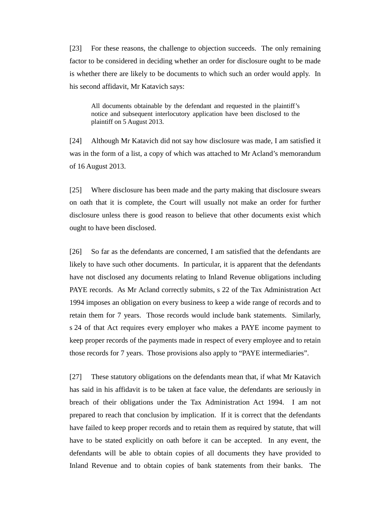[23] For these reasons, the challenge to objection succeeds. The only remaining factor to be considered in deciding whether an order for disclosure ought to be made is whether there are likely to be documents to which such an order would apply. In his second affidavit, Mr Katavich says:

All documents obtainable by the defendant and requested in the plaintiff's notice and subsequent interlocutory application have been disclosed to the plaintiff on 5 August 2013.

[24] Although Mr Katavich did not say how disclosure was made, I am satisfied it was in the form of a list, a copy of which was attached to Mr Acland's memorandum of 16 August 2013.

[25] Where disclosure has been made and the party making that disclosure swears on oath that it is complete, the Court will usually not make an order for further disclosure unless there is good reason to believe that other documents exist which ought to have been disclosed.

[26] So far as the defendants are concerned, I am satisfied that the defendants are likely to have such other documents. In particular, it is apparent that the defendants have not disclosed any documents relating to Inland Revenue obligations including PAYE records. As Mr Acland correctly submits, s 22 of the Tax Administration Act 1994 imposes an obligation on every business to keep a wide range of records and to retain them for 7 years. Those records would include bank statements. Similarly, s 24 of that Act requires every employer who makes a PAYE income payment to keep proper records of the payments made in respect of every employee and to retain those records for 7 years. Those provisions also apply to "PAYE intermediaries".

[27] These statutory obligations on the defendants mean that, if what Mr Katavich has said in his affidavit is to be taken at face value, the defendants are seriously in breach of their obligations under the Tax Administration Act 1994. I am not prepared to reach that conclusion by implication. If it is correct that the defendants have failed to keep proper records and to retain them as required by statute, that will have to be stated explicitly on oath before it can be accepted. In any event, the defendants will be able to obtain copies of all documents they have provided to Inland Revenue and to obtain copies of bank statements from their banks. The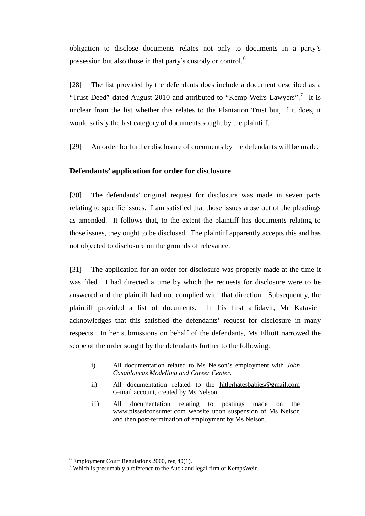obligation to disclose documents relates not only to documents in a party's possession but also those in that party's custody or control.<sup>[6](#page-7-0)</sup>

[28] The list provided by the defendants does include a document described as a "Trust Deed" dated August 2010 and attributed to "Kemp Weirs Lawyers".<sup>[7](#page-7-1)</sup> It is unclear from the list whether this relates to the Plantation Trust but, if it does, it would satisfy the last category of documents sought by the plaintiff.

[29] An order for further disclosure of documents by the defendants will be made.

## **Defendants' application for order for disclosure**

[30] The defendants' original request for disclosure was made in seven parts relating to specific issues. I am satisfied that those issues arose out of the pleadings as amended. It follows that, to the extent the plaintiff has documents relating to those issues, they ought to be disclosed. The plaintiff apparently accepts this and has not objected to disclosure on the grounds of relevance.

[31] The application for an order for disclosure was properly made at the time it was filed. I had directed a time by which the requests for disclosure were to be answered and the plaintiff had not complied with that direction. Subsequently, the plaintiff provided a list of documents. In his first affidavit, Mr Katavich acknowledges that this satisfied the defendants' request for disclosure in many respects. In her submissions on behalf of the defendants, Ms Elliott narrowed the scope of the order sought by the defendants further to the following:

- i) All documentation related to Ms Nelson's employment with *John Casablancas Modelling and Career Center.*
- ii) All documentation related to the hitlerhatesbabies@gmail.com G-mail account, created by Ms Nelson.
- iii) All documentation relating to postings made on the www.pissedconsumer.com website upon suspension of Ms Nelson and then post-termination of employment by Ms Nelson.

<span id="page-7-0"></span> $6$  Employment Court Regulations 2000, reg 40(1).

<span id="page-7-1"></span> $7$  Which is presumably a reference to the Auckland legal firm of KempsWeir.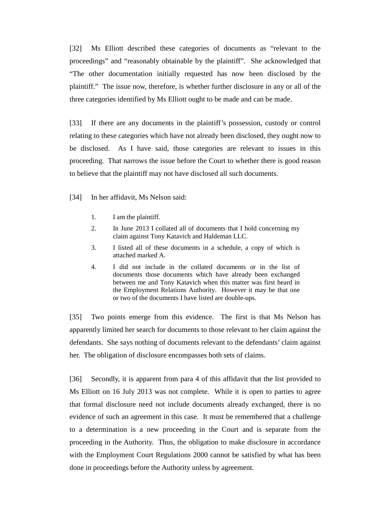[32] Ms Elliott described these categories of documents as "relevant to the proceedings" and "reasonably obtainable by the plaintiff". She acknowledged that "The other documentation initially requested has now been disclosed by the plaintiff." The issue now, therefore, is whether further disclosure in any or all of the three categories identified by Ms Elliott ought to be made and can be made.

[33] If there are any documents in the plaintiff's possession, custody or control relating to these categories which have not already been disclosed, they ought now to be disclosed. As I have said, those categories are relevant to issues in this proceeding. That narrows the issue before the Court to whether there is good reason to believe that the plaintiff may not have disclosed all such documents.

[34] In her affidavit, Ms Nelson said:

- 1. I am the plaintiff.
- 2. In June 2013 I collated all of documents that I hold concerning my claim against Tony Katavich and Haldeman LLC.
- 3. I listed all of these documents in a schedule, a copy of which is attached marked A.
- 4. I did not include in the collated documents or in the list of documents those documents which have already been exchanged between me and Tony Katavich when this matter was first heard in the Employment Relations Authority. However it may be that one or two of the documents I have listed are double-ups.

[35] Two points emerge from this evidence. The first is that Ms Nelson has apparently limited her search for documents to those relevant to her claim against the defendants. She says nothing of documents relevant to the defendants' claim against her. The obligation of disclosure encompasses both sets of claims.

[36] Secondly, it is apparent from para 4 of this affidavit that the list provided to Ms Elliott on 16 July 2013 was not complete. While it is open to parties to agree that formal disclosure need not include documents already exchanged, there is no evidence of such an agreement in this case. It must be remembered that a challenge to a determination is a new proceeding in the Court and is separate from the proceeding in the Authority. Thus, the obligation to make disclosure in accordance with the Employment Court Regulations 2000 cannot be satisfied by what has been done in proceedings before the Authority unless by agreement.